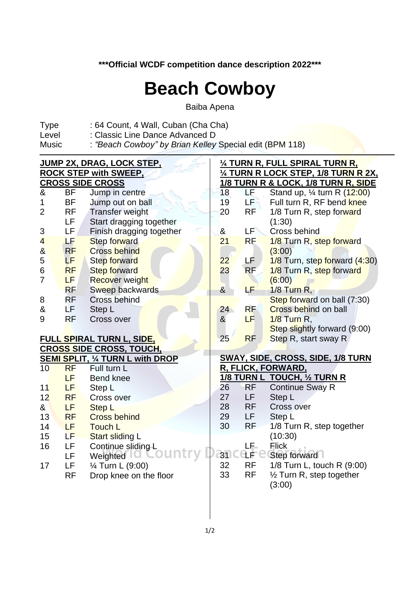**\*\*\*Official WCDF competition dance description 2022\*\*\***

## **Beach Cowboy**

Baiba Apena

- Type : 64 Count, 4 Wall, Cuban (Cha Cha)<br>Level : Classic Line Dance Advanced D
- Level : Classic Line Dance Advanced D<br>Music : "Beach Cowboy" by Brian Kellev
- : *"Beach Cowboy" by Brian Kelley Special edit* (BPM 118)

|                       |           | <b>JUMP 2X, DRAG, LOCK STEP,</b>        | 1/4 TURN R, FULL SPIRAL TURN R,                 |                    |                                            |  |  |  |  |  |
|-----------------------|-----------|-----------------------------------------|-------------------------------------------------|--------------------|--------------------------------------------|--|--|--|--|--|
|                       |           | <b>ROCK STEP with SWEEP,</b>            | <u>1/4 TURN R LOCK STEP, 1/8 TURN R 2X,</u>     |                    |                                            |  |  |  |  |  |
|                       |           | <b>CROSS SIDE CROSS</b>                 | <u> 1/8 TURN R &amp; LOCK, 1/8 TURN R, SIDE</u> |                    |                                            |  |  |  |  |  |
| &                     | <b>BF</b> | Jump in centre                          | 18                                              | ЬĘ.                | Stand up, $\frac{1}{4}$ turn R ( $12:00$ ) |  |  |  |  |  |
| 1                     | <b>BF</b> | Jump out on ball                        | 19                                              | EF <sub>3</sub>    | Full turn R, RF bend knee                  |  |  |  |  |  |
| $\overline{2}$        | <b>RF</b> | <b>Transfer weight</b>                  | 20                                              | <b>RF</b>          | 1/8 Turn R, step forward                   |  |  |  |  |  |
|                       | <b>LF</b> | Start dragging together                 |                                                 |                    | (1:30)                                     |  |  |  |  |  |
| 3                     | <b>LF</b> | Finish dragging together                | &                                               | LF <sup>2</sup>    | Cross behind                               |  |  |  |  |  |
| $\overline{4}$        | LF        | Step forward                            | 21                                              | <b>RF</b>          | 1/8 Turn R, step forward                   |  |  |  |  |  |
| $\boldsymbol{\alpha}$ | RF        | <b>Cross behind</b>                     |                                                 |                    | (3:00)                                     |  |  |  |  |  |
| 5                     | LF.       | <b>Step forward</b>                     | 22                                              | LF.                | 1/8 Turn, step forward (4:30)              |  |  |  |  |  |
| 6                     | <b>RF</b> | <b>Step forward</b>                     | 23                                              | <b>RF</b>          | 1/8 Turn R, step forward                   |  |  |  |  |  |
| $\overline{7}$        | LF.       | <b>Recover weight</b>                   |                                                 |                    | (6:00)                                     |  |  |  |  |  |
|                       | <b>RF</b> | Sweep backwards                         | $\alpha$                                        | LF                 | $1/8$ Turn R,                              |  |  |  |  |  |
| 8                     | <b>RF</b> | Cross behind                            |                                                 |                    | Step forward on ball (7:30)                |  |  |  |  |  |
| &                     | LF.       | Step L                                  | 24                                              | <b>RF</b>          | <b>Cross behind on ball</b>                |  |  |  |  |  |
| 9                     | <b>RF</b> | Cross over                              | &                                               | LF.                | 1/8 Turn R,                                |  |  |  |  |  |
|                       |           |                                         |                                                 |                    | Step slightly forward (9:00)               |  |  |  |  |  |
|                       |           | <u>FULL SPIRAL TURN L, SIDE,</u>        | 25                                              | <b>RF</b>          | Step R, start sway R                       |  |  |  |  |  |
|                       |           | <b>CROSS SIDE CROSS, TOUCH,</b>         |                                                 |                    |                                            |  |  |  |  |  |
|                       |           | <b>SEMI SPLIT, 1/4 TURN L with DROP</b> | <b>SWAY, SIDE, CROSS, SIDE, 1/8 TURN</b>        |                    |                                            |  |  |  |  |  |
| 10                    | <b>RF</b> | Full turn L                             |                                                 | R, FLICK, FORWARD, |                                            |  |  |  |  |  |
|                       | <b>LF</b> | <b>Bend knee</b>                        |                                                 |                    | 1/8 TURN L TOUCH, 1/2 TURN R               |  |  |  |  |  |
| 11                    | <b>LF</b> | Step L                                  | 26                                              | RF                 | <b>Continue Sway R</b>                     |  |  |  |  |  |
| 12                    | <b>RF</b> | <b>Cross over</b>                       | 27                                              | LF                 | Step L                                     |  |  |  |  |  |
| &                     | LF        | <b>Step L</b>                           | 28                                              | <b>RF</b>          | Cross over                                 |  |  |  |  |  |
| 13                    | <b>RF</b> | <b>Cross behind</b>                     | 29                                              | LF.                | Step L                                     |  |  |  |  |  |
| 14                    | LF.       | <b>Touch L</b>                          | 30                                              | <b>RF</b>          | 1/8 Turn R, step together                  |  |  |  |  |  |
| 15                    | LF        | <b>Start sliding L</b>                  |                                                 |                    | (10:30)                                    |  |  |  |  |  |
| 16                    | LF        | Continue sliding L                      |                                                 | LF.                | <b>Flick</b>                               |  |  |  |  |  |
|                       | LF        | Weighted                                | 31 <sup>1</sup>                                 | CLF"               | Step forward                               |  |  |  |  |  |
| 17                    | <b>LF</b> | 1/ <sub>4</sub> Turn L (9:00)           | 32                                              | <b>RF</b>          | 1/8 Turn L, touch R (9:00)                 |  |  |  |  |  |
|                       | <b>RF</b> | Drop knee on the floor                  | 33                                              | <b>RF</b>          | $\frac{1}{2}$ Turn R, step together        |  |  |  |  |  |
|                       |           |                                         |                                                 |                    | (3:00)                                     |  |  |  |  |  |